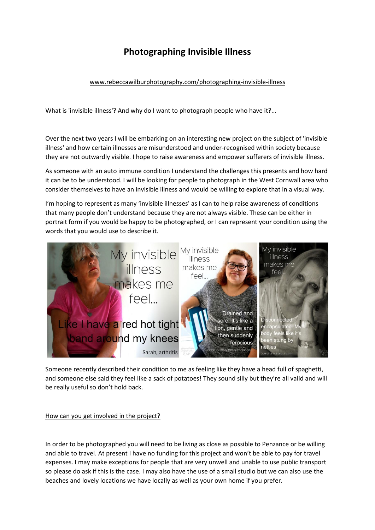## **Photographing Invisible Illness**

[www.rebeccawilburphotography.com/photographing-invisible-illness](http://www.rebeccawilburphotography.com/photographing-invisible-illness)

What is 'invisible illness'? And why do I want to photograph people who have it?...

Over the next two years I will be embarking on an interesting new project on the subject of 'invisible illness' and how certain illnesses are misunderstood and under-recognised within society because they are not outwardly visible. I hope to raise awareness and empower sufferers of invisible illness.

As someone with an auto immune condition I understand the challenges this presents and how hard it can be to be understood. I will be looking for people to photograph in the West Cornwall area who consider themselves to have an invisible illness and would be willing to explore that in a visual way.

I'm hoping to represent as many 'invisible illnesses' as I can to help raise awareness of conditions that many people don't understand because they are not always visible. These can be either in portrait form if you would be happy to be photographed, or I can represent your condition using the words that you would use to describe it.



Someone recently described their condition to me as feeling like they have a head full of spaghetti, and someone else said they feel like a sack of potatoes! They sound silly but they're all valid and will be really useful so don't hold back.

How can you get involved in the project?

In order to be photographed you will need to be living as close as possible to Penzance or be willing and able to travel. At present I have no funding for this project and won't be able to pay for travel expenses. I may make exceptions for people that are very unwell and unable to use public transport so please do ask if this is the case. I may also have the use of a small studio but we can also use the beaches and lovely locations we have locally as well as your own home if you prefer.